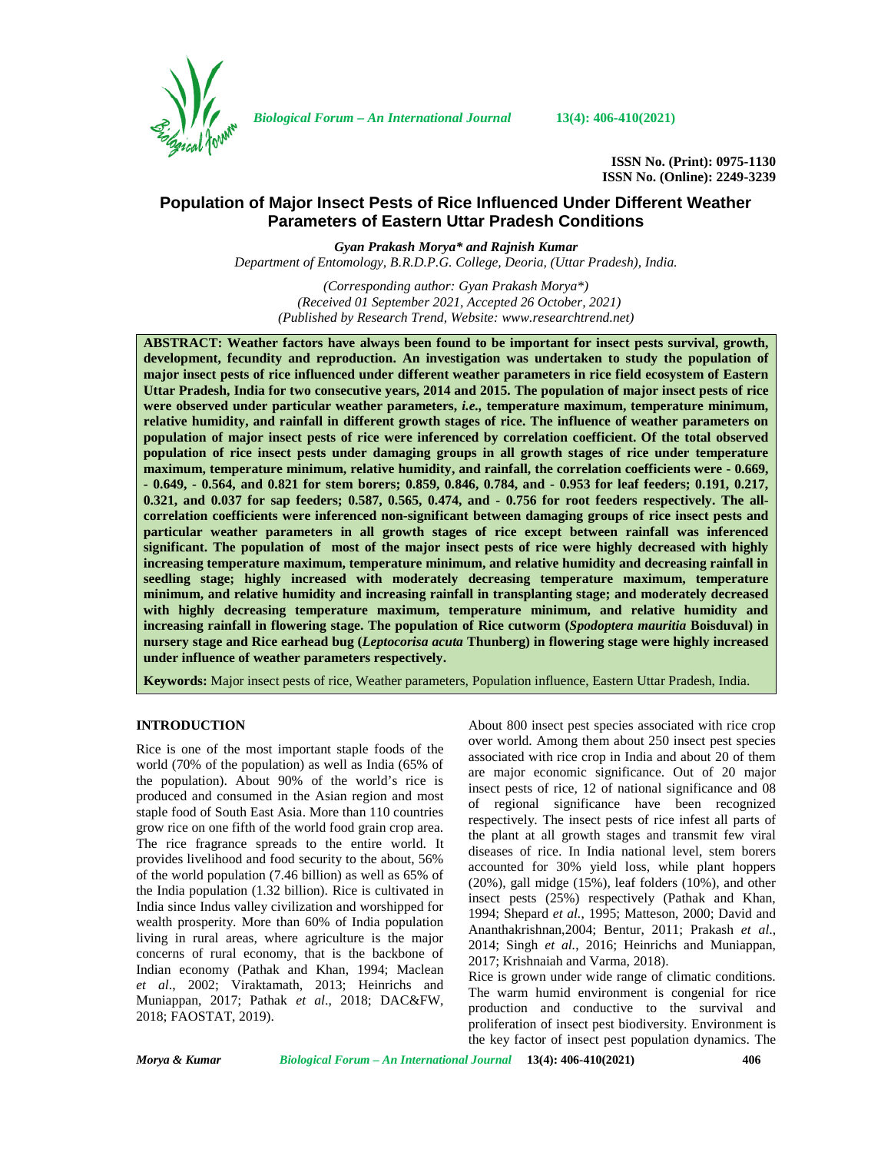

*Biological Forum – An International Journal* **13(4): 406-410(2021)**

**ISSN No. (Print): 0975-1130 ISSN No. (Online): 2249-3239**

# **Population of Major Insect Pests of Rice Influenced Under Different Weather Parameters of Eastern Uttar Pradesh Conditions**

*Gyan Prakash Morya\* and Rajnish Kumar Department of Entomology, B.R.D.P.G. College, Deoria, (Uttar Pradesh), India.*

*(Corresponding author: Gyan Prakash Morya\*) (Received 01 September 2021, Accepted 26 October, 2021) (Published by Research Trend, Website: [www.researchtrend.net\)](www.researchtrend.net)*

**ABSTRACT: Weather factors have always been found to be important for insect pests survival, growth, development, fecundity and reproduction. An investigation was undertaken to study the population of major insect pests of rice influenced under different weather parameters in rice field ecosystem of Eastern Uttar Pradesh, India for two consecutive years, 2014 and 2015. The population of major insect pests of rice were observed under particular weather parameters,** *i.e.,* **temperature maximum, temperature minimum, relative humidity, and rainfall in different growth stages of rice. The influence of weather parameters on population of major insect pests of rice were inferenced by correlation coefficient. Of the total observed population of rice insect pests under damaging groups in all growth stages of rice under temperature maximum, temperature minimum, relative humidity, and rainfall, the correlation coefficients were - 0.669, - 0.649, - 0.564, and 0.821 for stem borers; 0.859, 0.846, 0.784, and - 0.953 for leaf feeders; 0.191, 0.217, 0.321, and 0.037 for sap feeders; 0.587, 0.565, 0.474, and - 0.756 for root feeders respectively. The all correlation coefficients were inferenced non-significant between damaging groups of rice insect pests and particular weather parameters in all growth stages of rice except between rainfall was inferenced significant. The population of most of the major insect pests of rice were highly decreased with highly increasing temperature maximum, temperature minimum, and relative humidity and decreasing rainfall in seedling stage; highly increased with moderately decreasing temperature maximum, temperature minimum, and relative humidity and increasing rainfall in transplanting stage; and moderately decreased with highly decreasing temperature maximum, temperature minimum, and relative humidity and increasing rainfall in flowering stage. The population of Rice cutworm (***Spodoptera mauritia* **Boisduval) in nursery stage and Rice earhead bug (***Leptocorisa acuta* **Thunberg) in flowering stage were highly increased under influence of weather parameters respectively.**

**Keywords:** Major insect pests of rice, Weather parameters, Population influence, Eastern Uttar Pradesh, India.

## **INTRODUCTION**

Rice is one of the most important staple foods of the world (70% of the population) as well as India (65% of the population). About 90% of the world's rice is produced and consumed in the Asian region and most staple food of South East Asia. More than 110 countries grow rice on one fifth of the world food grain crop area. The rice fragrance spreads to the entire world. It provides livelihood and food security to the about, 56% of the world population (7.46 billion) as well as 65% of the India population (1.32 billion). Rice is cultivated in India since Indus valley civilization and worshipped for wealth prosperity. More than 60% of India population living in rural areas, where agriculture is the major concerns of rural economy, that is the backbone of Indian economy (Pathak and Khan, 1994; Maclean *et al*., 2002; Viraktamath, 2013; Heinrichs and Muniappan, 2017; Pathak *et al*., 2018; DAC&FW, 2018; FAOSTAT, 2019).

About 800 insect pest species associated with rice crop over world. Among them about 250 insect pest species associated with rice crop in India and about 20 of them are major economic significance. Out of 20 major insect pests of rice, 12 of national significance and 08 of regional significance have been recognized respectively. The insect pests of rice infest all parts of the plant at all growth stages and transmit few viral diseases of rice. In India national level, stem borers accounted for 30% yield loss, while plant hoppers (20%), gall midge (15%), leaf folders (10%), and other insect pests (25%) respectively (Pathak and Khan, 1994; Shepard *et al.*, 1995; Matteson, 2000; David and Ananthakrishnan,2004; Bentur, 2011; Prakash *et al*., 2014; Singh *et al.*, 2016; Heinrichs and Muniappan, 2017; Krishnaiah and Varma, 2018).

Rice is grown under wide range of climatic conditions. The warm humid environment is congenial for rice production and conductive to the survival and proliferation of insect pest biodiversity. Environment is the key factor of insect pest population dynamics. The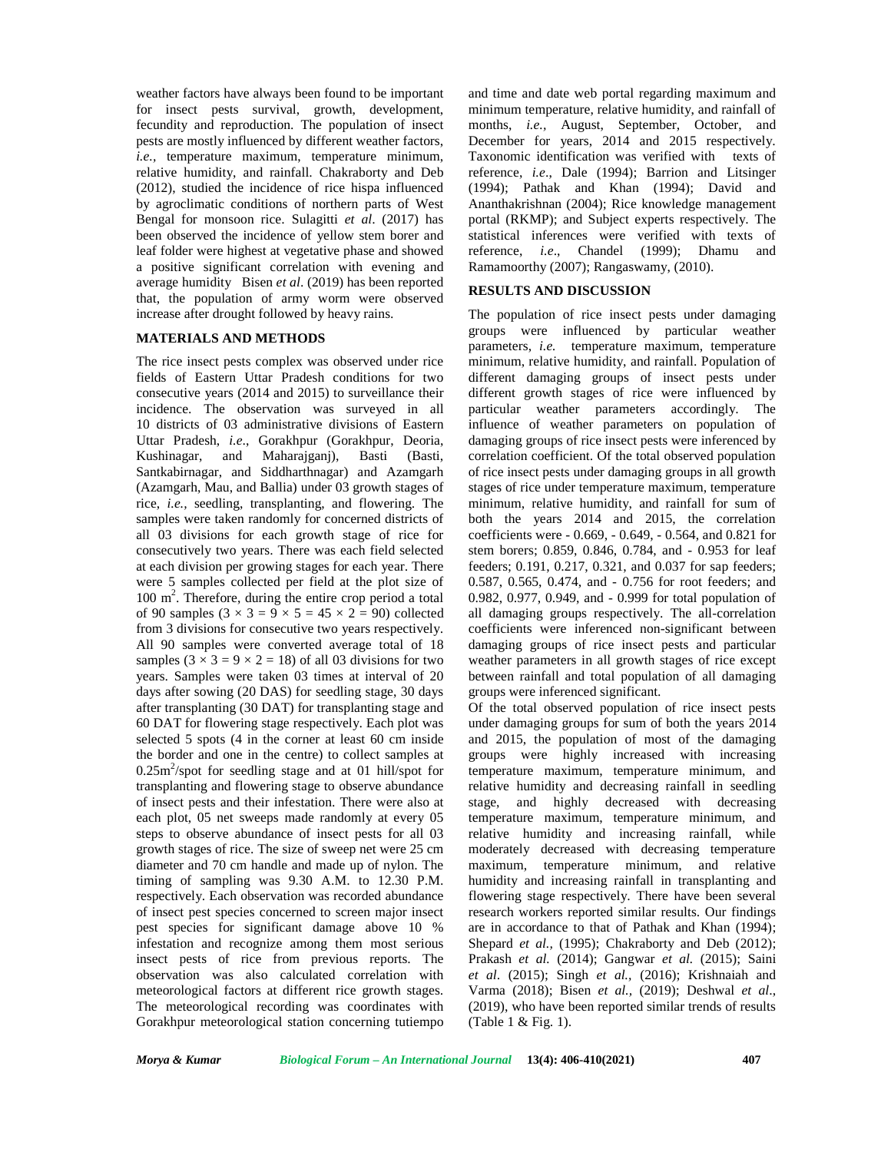weather factors have always been found to be important for insect pests survival, growth, development, fecundity and reproduction. The population of insect pests are mostly influenced by different weather factors, *i.e.,* temperature maximum, temperature minimum, relative humidity, and rainfall. Chakraborty and Deb (2012), studied the incidence of rice hispa influenced by agroclimatic conditions of northern parts of West Bengal for monsoon rice. Sulagitti *et al*. (2017) has been observed the incidence of yellow stem borer and leaf folder were highest at vegetative phase and showed a positive significant correlation with evening and average humidity Bisen *et al*. (2019) has been reported that, the population of army worm were observed increase after drought followed by heavy rains.

### **MATERIALS AND METHODS**

The rice insect pests complex was observed under rice fields of Eastern Uttar Pradesh conditions for two consecutive years (2014 and 2015) to surveillance their incidence. The observation was surveyed in all 10 districts of 03 administrative divisions of Eastern Uttar Pradesh, *i.e*., Gorakhpur (Gorakhpur, Deoria, Kushinagar, and Maharajganj), Basti (Basti, Santkabirnagar, and Siddharthnagar) and Azamgarh (Azamgarh, Mau, and Ballia) under 03 growth stages of rice, *i.e.,* seedling, transplanting, and flowering. The samples were taken randomly for concerned districts of all 03 divisions for each growth stage of rice for consecutively two years. There was each field selected at each division per growing stages for each year. There were 5 samples collected per field at the plot size of 100 m<sup>2</sup>. Therefore, during the entire crop period a total ( of 90 samples  $(3 \times 3 = 9 \times 5 = 45 \times 2 = 90)$  collected from 3 divisions for consecutive two years respectively. All 90 samples were converted average total of 18 samples  $(3 \times 3 = 9 \times 2 = 18)$  of all 03 divisions for two years. Samples were taken 03 times at interval of 20 days after sowing (20 DAS) for seedling stage, 30 days after transplanting (30 DAT) for transplanting stage and 60 DAT for flowering stage respectively. Each plot was selected 5 spots (4 in the corner at least 60 cm inside the border and one in the centre) to collect samples at  $0.25$ m<sup>2</sup>/spot for seedling stage and at 01 hill/spot for te transplanting and flowering stage to observe abundance of insect pests and their infestation. There were also at each plot, 05 net sweeps made randomly at every 05 steps to observe abundance of insect pests for all 03 growth stages of rice. The size of sweep net were 25 cm diameter and 70 cm handle and made up of nylon. The timing of sampling was 9.30 A.M. to 12.30 P.M. respectively. Each observation was recorded abundance of insect pest species concerned to screen major insect pest species for significant damage above 10 % infestation and recognize among them most serious insect pests of rice from previous reports. The observation was also calculated correlation with meteorological factors at different rice growth stages. The meteorological recording was coordinates with Gorakhpur meteorological station concerning tutiempo

and time and date web portal regarding maximum and minimum temperature, relative humidity, and rainfall of months, *i.e.,* August, September, October, and December for years, 2014 and 2015 respectively. Taxonomic identification was verified with texts of reference, *i.e*., Dale (1994); Barrion and Litsinger (1994); Pathak and Khan (1994); David and Ananthakrishnan (2004); Rice knowledge management portal (RKMP); and Subject experts respectively. The statistical inferences were verified with texts of reference, *i.e*., Chandel (1999); Dhamu and Ramamoorthy (2007); Rangaswamy, (2010).

## **RESULTS AND DISCUSSION**

The population of rice insect pests under damaging groups were influenced by particular weather parameters, *i.e.* temperature maximum, temperature minimum, relative humidity, and rainfall. Population of different damaging groups of insect pests under different growth stages of rice were influenced by particular weather parameters accordingly. The influence of weather parameters on population of damaging groups of rice insect pests were inferenced by correlation coefficient. Of the total observed population of rice insect pests under damaging groups in all growth stages of rice under temperature maximum, temperature minimum, relative humidity, and rainfall for sum of both the years 2014 and 2015, the correlation coefficients were - 0.669, - 0.649, - 0.564, and 0.821 for stem borers; 0.859, 0.846, 0.784, and - 0.953 for leaf feeders; 0.191, 0.217, 0.321, and 0.037 for sap feeders; 0.587, 0.565, 0.474, and - 0.756 for root feeders; and 0.982, 0.977, 0.949, and - 0.999 for total population of all damaging groups respectively. The all-correlation coefficients were inferenced non-significant between damaging groups of rice insect pests and particular weather parameters in all growth stages of rice except between rainfall and total population of all damaging groups were inferenced significant.

Of the total observed population of rice insect pests under damaging groups for sum of both the years 2014 and 2015, the population of most of the damaging groups were highly increased with increasing temperature maximum, temperature minimum, and relative humidity and decreasing rainfall in seedling stage, and highly decreased with decreasing temperature maximum, temperature minimum, and relative humidity and increasing rainfall, while moderately decreased with decreasing temperature maximum, temperature minimum, and relative humidity and increasing rainfall in transplanting and flowering stage respectively. There have been several research workers reported similar results. Our findings are in accordance to that of Pathak and Khan (1994); Shepard *et al.,* (1995); Chakraborty and Deb (2012); Prakash *et al.* (2014); Gangwar *et al.* (2015); Saini *et al*. (2015); Singh *et al.,* (2016); Krishnaiah and Varma (2018); Bisen *et al.,* (2019); Deshwal *et al*., (2019), who have been reported similar trends of results (Table 1 & Fig. 1).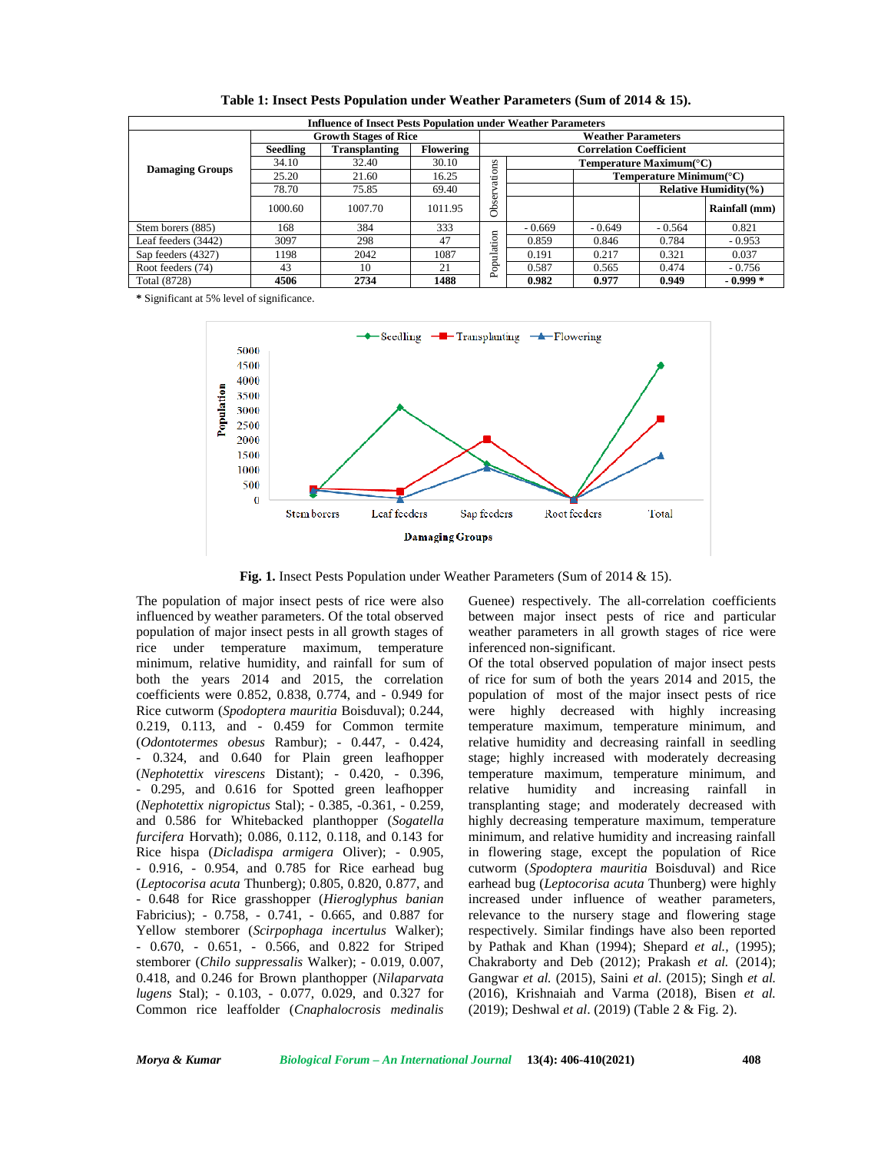| <b>Influence of Insect Pests Population under Weather Parameters</b> |                              |                      |                  |                                |                           |                                             |                           |               |  |  |
|----------------------------------------------------------------------|------------------------------|----------------------|------------------|--------------------------------|---------------------------|---------------------------------------------|---------------------------|---------------|--|--|
|                                                                      | <b>Growth Stages of Rice</b> |                      |                  |                                | <b>Weather Parameters</b> |                                             |                           |               |  |  |
| <b>Damaging Groups</b>                                               | Seedling                     | <b>Transplanting</b> | <b>Flowering</b> | <b>Correlation Coefficient</b> |                           |                                             |                           |               |  |  |
|                                                                      | 34.10                        | 32.40                | 30.10            |                                |                           | Temperature Maximum( $^{\circ}$ C)          |                           |               |  |  |
|                                                                      | 25.20                        | 21.60                | 16.25            | ations                         |                           | Temperature Minimum( $\mathrm{^{\circ}C}$ ) |                           |               |  |  |
|                                                                      | 78.70                        | 75.85                | 69.40            |                                |                           |                                             | Relative Humidity $(\% )$ |               |  |  |
|                                                                      | 1000.60                      | 1007.70              | 1011.95          | Obsery                         |                           |                                             |                           | Rainfall (mm) |  |  |
| Stem borers (885)                                                    | 168                          | 384                  | 333              |                                | $-0.669$                  | $-0.649$                                    | $-0.564$                  | 0.821         |  |  |
| Leaf feeders (3442)                                                  | 3097                         | 298                  | 47               |                                | 0.859                     | 0.846                                       | 0.784                     | $-0.953$      |  |  |
| Sap feeders (4327)                                                   | 1198                         | 2042                 | 1087             | Population                     | 0.191                     | 0.217                                       | 0.321                     | 0.037         |  |  |
| Root feeders (74)                                                    | 43                           | 10                   | 21               |                                | 0.587                     | 0.565                                       | 0.474                     | $-0.756$      |  |  |
| Total (8728)                                                         | 4506                         | 2734                 | 1488             |                                | 0.982                     | 0.977                                       | 0.949                     | $-0.999*$     |  |  |

**Table 1: Insect Pests Population under Weather Parameters (Sum of 2014 & 15).**

**\*** Significant at 5% level of significance.



**Fig. 1.** Insect Pests Population under Weather Parameters (Sum of 2014 & 15).

The population of major insect pests of rice were also influenced by weather parameters. Of the total observed population of major insect pests in all growth stages of rice under temperature maximum, temperature minimum, relative humidity, and rainfall for sum of both the years 2014 and 2015, the correlation coefficients were 0.852, 0.838, 0.774, and - 0.949 for Rice cutworm (*Spodoptera mauritia* Boisduval); 0.244, 0.219, 0.113, and - 0.459 for Common termite (*Odontotermes obesus* Rambur); - 0.447, - 0.424, - 0.324, and 0.640 for Plain green leafhopper (*Nephotettix virescens* Distant); - 0.420, - 0.396, - 0.295, and 0.616 for Spotted green leafhopper (*Nephotettix nigropictus* Stal); - 0.385, -0.361, - 0.259, and 0.586 for Whitebacked planthopper (*Sogatella furcifera* Horvath); 0.086, 0.112, 0.118, and 0.143 for Rice hispa (*Dicladispa armigera* Oliver); - 0.905, - 0.916, - 0.954, and 0.785 for Rice earhead bug (*Leptocorisa acuta* Thunberg); 0.805, 0.820, 0.877, and - 0.648 for Rice grasshopper (*Hieroglyphus banian* Fabricius); - 0.758, - 0.741, - 0.665, and 0.887 for Yellow stemborer (*Scirpophaga incertulus* Walker); - 0.670, - 0.651, - 0.566, and 0.822 for Striped stemborer (*Chilo suppressalis* Walker); - 0.019, 0.007, 0.418, and 0.246 for Brown planthopper (*Nilaparvata lugens* Stal); - 0.103, - 0.077, 0.029, and 0.327 for Common rice leaffolder (*Cnaphalocrosis medinalis*

Guenee) respectively. The all-correlation coefficients between major insect pests of rice and particular weather parameters in all growth stages of rice were inferenced non-significant.

Of the total observed population of major insect pests of rice for sum of both the years 2014 and 2015, the population of most of the major insect pests of rice were highly decreased with highly increasing temperature maximum, temperature minimum, and relative humidity and decreasing rainfall in seedling stage; highly increased with moderately decreasing temperature maximum, temperature minimum, and relative humidity and increasing rainfall in transplanting stage; and moderately decreased with highly decreasing temperature maximum, temperature minimum, and relative humidity and increasing rainfall in flowering stage, except the population of Rice cutworm (*Spodoptera mauritia* Boisduval) and Rice earhead bug (*Leptocorisa acuta* Thunberg) were highly increased under influence of weather parameters, relevance to the nursery stage and flowering stage respectively. Similar findings have also been reported by Pathak and Khan (1994); Shepard *et al.,* (1995); Chakraborty and Deb (2012); Prakash *et al.* (2014); Gangwar *et al.* (2015), Saini *et al*. (2015); Singh *et al.* (2016), Krishnaiah and Varma (2018), Bisen *et al.* (2019); Deshwal *et al*. (2019) (Table 2 & Fig. 2).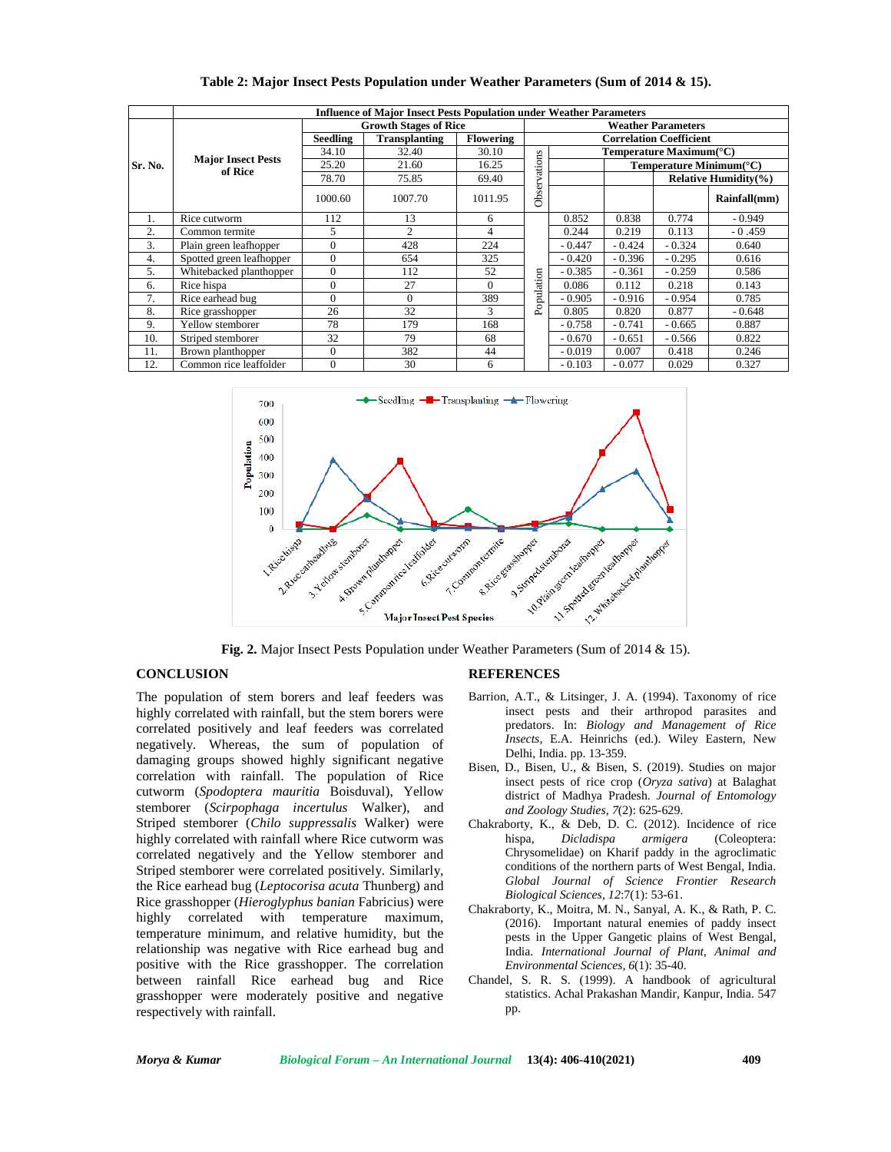|         | <b>Influence of Major Insect Pests Population under Weather Parameters</b> |                                         |                |                  |                                |                           |                                      |                                    |              |  |
|---------|----------------------------------------------------------------------------|-----------------------------------------|----------------|------------------|--------------------------------|---------------------------|--------------------------------------|------------------------------------|--------------|--|
|         |                                                                            | <b>Growth Stages of Rice</b>            |                |                  |                                | <b>Weather Parameters</b> |                                      |                                    |              |  |
| Sr. No. |                                                                            | <b>Seedling</b><br><b>Transplanting</b> |                | <b>Flowering</b> | <b>Correlation Coefficient</b> |                           |                                      |                                    |              |  |
|         |                                                                            | 34.10                                   | 32.40          | 30.10            |                                |                           | Temperature Maximum( ${}^{\circ}$ C) |                                    |              |  |
|         | <b>Major Insect Pests</b><br>of Rice                                       | 25.20                                   | 21.60          | 16.25            | ations                         |                           |                                      | Temperature Minimum( $^{\circ}$ C) |              |  |
|         |                                                                            | 78.70                                   | 75.85          | 69.40            | ⊳                              |                           |                                      | <b>Relative Humidity(%)</b>        |              |  |
|         |                                                                            | 1000.60                                 | 1007.70        | 1011.95          | Obser                          |                           |                                      |                                    | Rainfall(mm) |  |
| 1.      | Rice cutworm                                                               | 112                                     | 13             | 6                |                                | 0.852                     | 0.838                                | 0.774                              | $-0.949$     |  |
| 2.      | Common termite                                                             | 5                                       | $\overline{2}$ | 4                | pulation<br>å                  | 0.244                     | 0.219                                | 0.113                              | $-0.459$     |  |
| 3.      | Plain green leafhopper                                                     | $\overline{0}$                          | 428            | 224              |                                | $-0.447$                  | $-0.424$                             | $-0.324$                           | 0.640        |  |
| 4.      | Spotted green leafhopper                                                   | $\overline{0}$                          | 654            | 325              |                                | $-0.420$                  | $-0.396$                             | $-0.295$                           | 0.616        |  |
| 5.      | Whitebacked planthopper                                                    | $\overline{0}$                          | 112            | 52               |                                | $-0.385$                  | $-0.361$                             | $-0.259$                           | 0.586        |  |
| 6.      | Rice hispa                                                                 | $\Omega$                                | 27             | $\Omega$         |                                | 0.086                     | 0.112                                | 0.218                              | 0.143        |  |
| 7.      | Rice earhead bug                                                           | $\theta$                                | $\Omega$       | 389              |                                | $-0.905$                  | $-0.916$                             | $-0.954$                           | 0.785        |  |
| 8.      | Rice grasshopper                                                           | 26                                      | 32             | 3                |                                | 0.805                     | 0.820                                | 0.877                              | $-0.648$     |  |
| 9.      | Yellow stemborer                                                           | 78                                      | 179            | 168              |                                | $-0.758$                  | $-0.741$                             | $-0.665$                           | 0.887        |  |
| 10.     | Striped stemborer                                                          | 32                                      | 79             | 68               |                                | $-0.670$                  | $-0.651$                             | $-0.566$                           | 0.822        |  |
| 11.     | Brown planthopper                                                          | $\overline{0}$                          | 382            | 44               |                                | $-0.019$                  | 0.007                                | 0.418                              | 0.246        |  |
| 12.     | Common rice leaffolder                                                     | $\overline{0}$                          | 30             | 6                |                                | $-0.103$                  | $-0.077$                             | 0.029                              | 0.327        |  |

### **Table 2: Major Insect Pests Population under Weather Parameters (Sum of 2014 & 15).**



**Fig. 2.** Major Insect Pests Population under Weather Parameters (Sum of 2014 & 15).

## **CONCLUSION**

The population of stem borers and leaf feeders was highly correlated with rainfall, but the stem borers were correlated positively and leaf feeders was correlated negatively. Whereas, the sum of population of damaging groups showed highly significant negative correlation with rainfall. The population of Rice cutworm (*Spodoptera mauritia* Boisduval), Yellow stemborer (*Scirpophaga incertulus* Walker), and Striped stemborer (*Chilo suppressalis* Walker) were highly correlated with rainfall where Rice cutworm was correlated negatively and the Yellow stemborer and Striped stemborer were correlated positively. Similarly, the Rice earhead bug (*Leptocorisa acuta* Thunberg) and Rice grasshopper (*Hieroglyphus banian* Fabricius) were highly correlated with temperature maximum, temperature minimum, and relative humidity, but the relationship was negative with Rice earhead bug and positive with the Rice grasshopper. The correlation between rainfall Rice earhead bug and Rice grasshopper were moderately positive and negative respectively with rainfall.

#### **REFERENCES**

- Barrion, A.T., & Litsinger, J. A. (1994). Taxonomy of rice insect pests and their arthropod parasites and predators. In: *Biology and Management of Rice Insects,* E.A. Heinrichs (ed.). Wiley Eastern, New Delhi, India. pp. 13-359.
- Bisen, D., Bisen, U., & Bisen, S. (2019). Studies on major insect pests of rice crop (*Oryza sativa*) at Balaghat district of Madhya Pradesh. *Journal of Entomology and Zoology Studies*, *7*(2): 625-629.
- Chakraborty, K., & Deb, D. C. (2012). Incidence of rice<br>hispa, Dicladispa armigera (Coleoptera: hispa, *Dicladispa armigera* (Coleoptera: Chrysomelidae) on Kharif paddy in the agroclimatic conditions of the northern parts of West Bengal, India. *Global Journal of Science Frontier Research Biological Sciences*, *12*:7(1): 53-61.
- Chakraborty, K., Moitra, M. N., Sanyal, A. K., & Rath, P. C. (2016). Important natural enemies of paddy insect pests in the Upper Gangetic plains of West Bengal, India. *International Journal of Plant, Animal and Environmental Sciences, 6*(1): 35-40.
- Chandel, S. R. S. (1999). A handbook of agricultural statistics. Achal Prakashan Mandir, Kanpur, India. 547 pp.